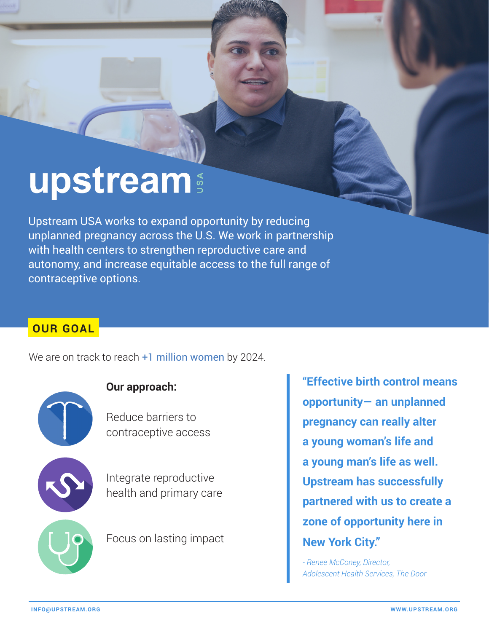# upstream

Upstream USA works to expand opportunity by reducing unplanned pregnancy across the U.S. We work in partnership with health centers to strengthen reproductive care and autonomy, and increase equitable access to the full range of contraceptive options.

# **OUR GOAL**

We are on track to reach  $+1$  million women by 2024.



### **Our approach:**

Reduce barriers to contraceptive access



Integrate reproductive health and primary care

Focus on lasting impact

**"Effective birth control means opportunity— an unplanned pregnancy can really alter a young woman's life and a young man's life as well. Upstream has successfully partnered with us to create a zone of opportunity here in New York City."**

*- Renee McConey, Director, Adolescent Health Services, The Door*